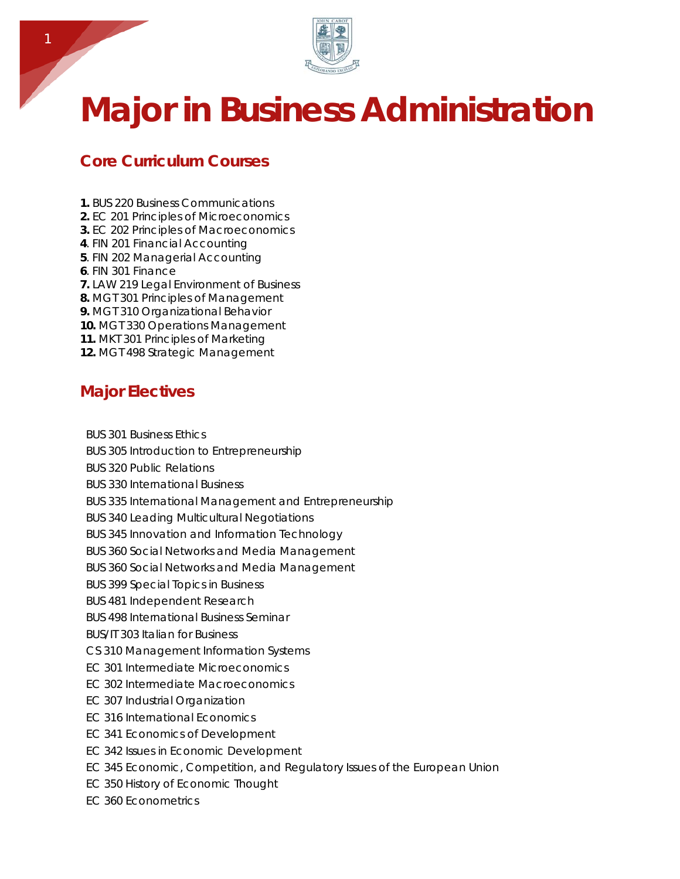

## **Major in Business Administration**

## **Core Curriculum Courses**

- **1.** BUS 220 Business Communications
- **2.** EC 201 Principles of Microeconomics
- **3.** EC 202 Principles of Macroeconomics
- **4**. FIN 201 Financial Accounting
- **5**. FIN 202 Managerial Accounting
- **6**. FIN 301 Finance
- **7.** LAW 219 Legal Environment of Business
- **8.** MGT 301 Principles of Management
- **9.** MGT 310 Organizational Behavior
- **10.** MGT 330 Operations Management
- **11.** MKT 301 Principles of Marketing
- **12.** MGT 498 Strategic Management

## **Major Electives**

- BUS 301 Business Ethics
- BUS 305 Introduction to Entrepreneurship
- BUS 320 Public Relations
- BUS 330 International Business
- BUS 335 International Management and Entrepreneurship
- BUS 340 Leading Multicultural Negotiations
- BUS 345 Innovation and Information Technology
- BUS 360 Social Networks and Media Management
- BUS 360 Social Networks and Media Management
- BUS 399 Special Topics in Business
- BUS 481 Independent Research
- BUS 498 International Business Seminar
- BUS/IT 303 Italian for Business
- CS 310 Management Information Systems
- EC 301 Intermediate Microeconomics
- EC 302 Intermediate Macroeconomics
- EC 307 Industrial Organization
- EC 316 International Economics
- EC 341 Economics of Development
- EC 342 Issues in Economic Development
- EC 345 Economic, Competition, and Regulatory Issues of the European Union
- EC 350 History of Economic Thought
- EC 360 Econometrics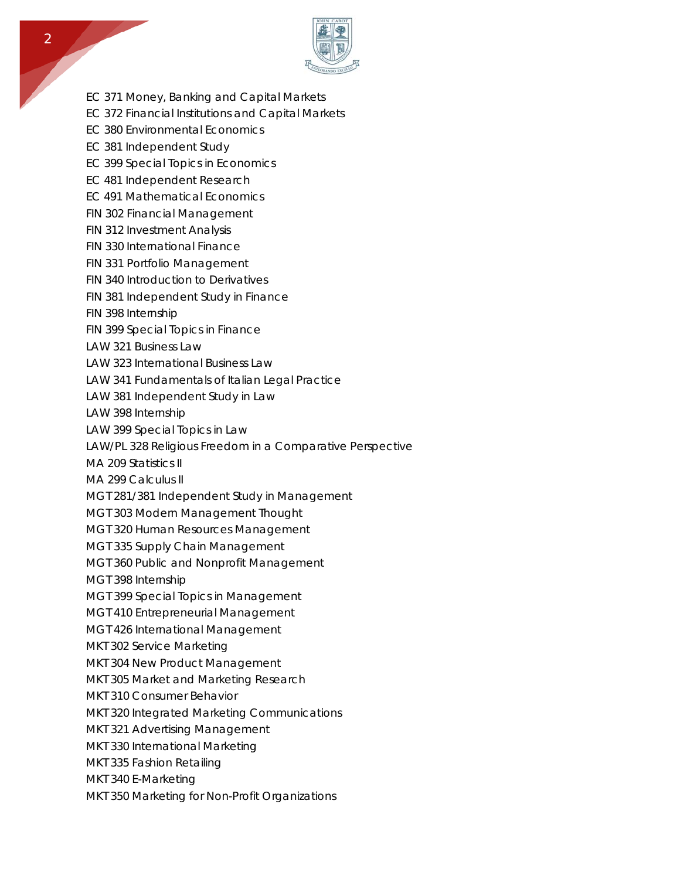

- EC 371 Money, Banking and Capital Markets
- EC 372 Financial Institutions and Capital Markets
- EC 380 Environmental Economics
- EC 381 Independent Study
- EC 399 Special Topics in Economics
- EC 481 Independent Research
- EC 491 Mathematical Economics
- FIN 302 Financial Management
- FIN 312 Investment Analysis
- FIN 330 International Finance
- FIN 331 Portfolio Management
- FIN 340 Introduction to Derivatives
- FIN 381 Independent Study in Finance
- FIN 398 Internship
- FIN 399 Special Topics in Finance
- LAW 321 Business Law
- LAW 323 International Business Law
- LAW 341 Fundamentals of Italian Legal Practice
- LAW 381 Independent Study in Law
- LAW 398 Internship
- LAW 399 Special Topics in Law
- LAW/PL 328 Religious Freedom in a Comparative Perspective
- MA 209 Statistics II
- MA 299 Calculus II
- MGT 281/381 Independent Study in Management
- MGT 303 Modern Management Thought
- MGT 320 Human Resources Management
- MGT 335 Supply Chain Management
- MGT 360 Public and Nonprofit Management
- MGT 398 Internship
- MGT 399 Special Topics in Management
- MGT 410 Entrepreneurial Management
- MGT 426 International Management
- MKT 302 Service Marketing
- MKT 304 New Product Management
- MKT 305 Market and Marketing Research
- MKT 310 Consumer Behavior
- MKT 320 Integrated Marketing Communications
- MKT 321 Advertising Management
- MKT 330 International Marketing
- MKT 335 Fashion Retailing
- MKT 340 E-Marketing
- MKT 350 Marketing for Non-Profit Organizations